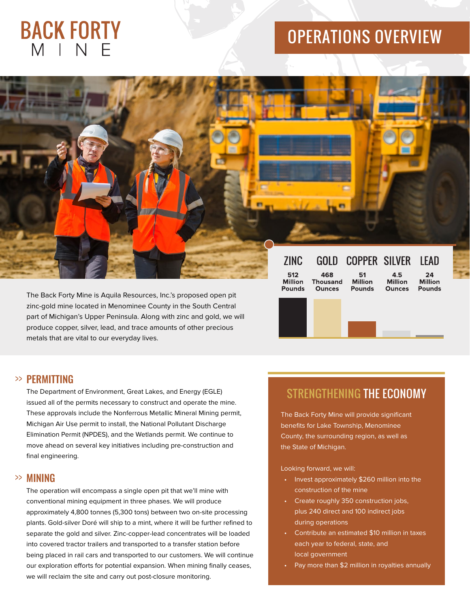# **BACK FORTY** MINF

## OPERATIONS OVERVIEW

The Back Forty Mine is Aquila Resources, Inc.'s proposed open pit zinc-gold mine located in Menominee County in the South Central part of Michigan's Upper Peninsula. Along with zinc and gold, we will produce copper, silver, lead, and trace amounts of other precious metals that are vital to our everyday lives.

| <b>ZINC</b>                            | <b>GOLD</b>                             | COPPER SILVER                         |                                        | I FAD                                 |
|----------------------------------------|-----------------------------------------|---------------------------------------|----------------------------------------|---------------------------------------|
| 512<br><b>Million</b><br><b>Pounds</b> | 468<br><b>Thousand</b><br><b>Ounces</b> | 51<br><b>Million</b><br><b>Pounds</b> | 4.5<br><b>Million</b><br><b>Ounces</b> | 24<br><b>Million</b><br><b>Pounds</b> |
|                                        |                                         |                                       |                                        |                                       |

## PERMITTING >>

The Department of Environment, Great Lakes, and Energy (EGLE) issued all of the permits necessary to construct and operate the mine. These approvals include the Nonferrous Metallic Mineral Mining permit, Michigan Air Use permit to install, the National Pollutant Discharge Elimination Permit (NPDES), and the Wetlands permit. We continue to move ahead on several key initiatives including pre-construction and final engineering.

## MINING >>

The operation will encompass a single open pit that we'll mine with conventional mining equipment in three phases. We will produce approximately 4,800 tonnes (5,300 tons) between two on-site processing plants. Gold-silver Doré will ship to a mint, where it will be further refined to separate the gold and silver. Zinc-copper-lead concentrates will be loaded into covered tractor trailers and transported to a transfer station before being placed in rail cars and transported to our customers. We will continue our exploration efforts for potential expansion. When mining finally ceases, we will reclaim the site and carry out post-closure monitoring.

## STRENGTHENING THE ECONOMY

The Back Forty Mine will provide significant benefits for Lake Township, Menominee County, the surrounding region, as well as the State of Michigan.

#### Looking forward, we will:

- Invest approximately \$260 million into the construction of the mine
- Create roughly 350 construction jobs, plus 240 direct and 100 indirect jobs during operations
- Contribute an estimated \$10 million in taxes each year to federal, state, and local government
- Pay more than \$2 million in royalties annually